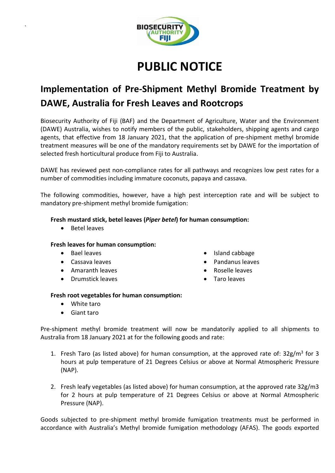

# **PUBLIC NOTICE**

# **Implementation of Pre-Shipment Methyl Bromide Treatment by DAWE, Australia for Fresh Leaves and Rootcrops**

Biosecurity Authority of Fiji (BAF) and the Department of Agriculture, Water and the Environment (DAWE) Australia, wishes to notify members of the public, stakeholders, shipping agents and cargo agents, that effective from 18 January 2021, that the application of pre-shipment methyl bromide treatment measures will be one of the mandatory requirements set by DAWE for the importation of selected fresh horticultural produce from Fiji to Australia.

DAWE has reviewed pest non-compliance rates for all pathways and recognizes low pest rates for a number of commodities including immature coconuts, papaya and cassava.

The following commodities, however, have a high pest interception rate and will be subject to mandatory pre-shipment methyl bromide fumigation:

## **Fresh mustard stick, betel leaves (***Piper betel***) for human consumption:**

• Betel leaves

`

## **Fresh leaves for human consumption:**

- Bael leaves
- Cassava leaves
- Amaranth leaves
- Drumstick leaves
- Island cabbage
- Pandanus leaves
- Roselle leaves
- Taro leaves

#### **Fresh root vegetables for human consumption:**

- White taro
- Giant taro

Pre-shipment methyl bromide treatment will now be mandatorily applied to all shipments to Australia from 18 January 2021 at for the following goods and rate:

- 1. Fresh Taro (as listed above) for human consumption, at the approved rate of: 32g/m<sup>3</sup> for 3 hours at pulp temperature of 21 Degrees Celsius or above at Normal Atmospheric Pressure (NAP).
- 2. Fresh leafy vegetables (as listed above) for human consumption, at the approved rate 32g/m3 for 2 hours at pulp temperature of 21 Degrees Celsius or above at Normal Atmospheric Pressure (NAP).

Goods subjected to pre-shipment methyl bromide fumigation treatments must be performed in accordance with Australia's Methyl bromide fumigation methodology (AFAS). The goods exported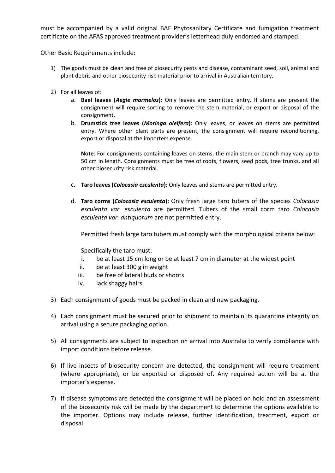must be accompanied by a valid original BAF Phytosanitary Certificate and fumigation treatment certificate on the AFAS approved treatment provider's letterhead duly endorsed and stamped.

Other Basic Requirements include:

- 1) The goods must be clean and free of biosecurity pests and disease, contaminant seed, soil, animal and plant debris and other biosecurity risk material prior to arrival in Australian territory.
- 2) For all leaves of:
	- a. **Bael leaves (***Aegle marmelos***):** Only leaves are permitted entry. If stems are present the consignment will require sorting to remove the stem material, or export or disposal of the consignment.
	- b. **Drumstick tree leaves (***Moringa oleifera***):** Only leaves, or leaves on stems are permitted entry. Where other plant parts are present, the consignment will require reconditioning, export or disposal at the importers expense.

**Note**: For consignments containing leaves on stems, the main stem or branch may vary up to 50 cm in length. Consignments must be free of roots, flowers, seed pods, tree trunks, and all other biosecurity risk material.

- c. **Taro leaves (***Colocasia esculenta***):** Only leaves and stems are permitted entry.
- d. **Taro corms (***Colocasia esculenta***):** Only fresh large taro tubers of the species *Colocasia esculenta var. esculenta* are permitted. Tubers of the small corm taro *Colocasia esculenta var. antiquorum* are not permitted entry.

Permitted fresh large taro tubers must comply with the morphological criteria below:

Specifically the taro must:

- i. be at least 15 cm long or be at least 7 cm in diameter at the widest point
- ii. be at least 300 g in weight
- iii. be free of lateral buds or shoots
- iv. lack shaggy hairs.
- 3) Each consignment of goods must be packed in clean and new packaging.
- 4) Each consignment must be secured prior to shipment to maintain its quarantine integrity on arrival using a secure packaging option.
- 5) All consignments are subject to inspection on arrival into Australia to verify compliance with import conditions before release.
- 6) If live insects of biosecurity concern are detected, the consignment will require treatment (where appropriate), or be exported or disposed of. Any required action will be at the importer's expense.
- 7) If disease symptoms are detected the consignment will be placed on hold and an assessment of the biosecurity risk will be made by the department to determine the options available to the importer. Options may include release, further identification, treatment, export or disposal.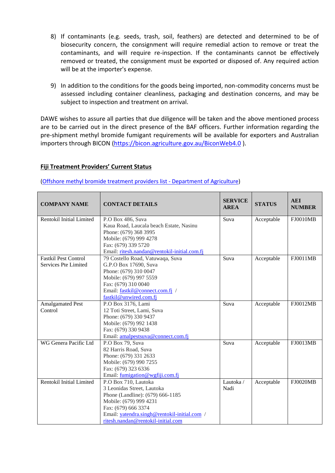- 8) If contaminants (e.g. seeds, trash, soil, feathers) are detected and determined to be of biosecurity concern, the consignment will require remedial action to remove or treat the contaminants, and will require re-inspection. If the contaminants cannot be effectively removed or treated, the consignment must be exported or disposed of. Any required action will be at the importer's expense.
- 9) In addition to the conditions for the goods being imported, non-commodity concerns must be assessed including container cleanliness, packaging and destination concerns, and may be subject to inspection and treatment on arrival.

DAWE wishes to assure all parties that due diligence will be taken and the above mentioned process are to be carried out in the direct presence of the BAF officers. Further information regarding the pre-shipment methyl bromide fumigant requirements will be available for exporters and Australian importers through BICON [\(https://bicon.agriculture.gov.au/BiconWeb4.0](https://bicon.agriculture.gov.au/BiconWeb4.0)).

#### **Fiji Treatment Providers' Current Status**

[\(Offshore methyl bromide treatment providers list -](https://www.agriculture.gov.au/import/before/prepare/treatment-outside-australia/afas/providers#fiji) Department of Agriculture)

| <b>COMPANY NAME</b>          | <b>CONTACT DETAILS</b>                       | <b>SERVICE</b><br><b>AREA</b> | <b>STATUS</b> | <b>AEI</b><br><b>NUMBER</b> |
|------------------------------|----------------------------------------------|-------------------------------|---------------|-----------------------------|
| Rentokil Initial Limited     | P.O Box 486, Suva                            | Suva                          | Acceptable    | <b>FJ0010MB</b>             |
|                              | Kaua Road, Laucala beach Estate, Nasinu      |                               |               |                             |
|                              | Phone: (679) 368 3995                        |                               |               |                             |
|                              | Mobile: (679) 999 4278                       |                               |               |                             |
|                              | Fax: (679) 339 5720                          |                               |               |                             |
|                              | Email: ritesh.nandan@rentokil-initial.com.fj |                               |               |                             |
| <b>Fastkil Pest Control</b>  | 79 Costello Road, Vatuwaqa, Suva             | Suva                          | Acceptable    | <b>FJ0011MB</b>             |
| Services Pte Limited         | G.P.O Box 17690, Suva                        |                               |               |                             |
|                              | Phone: (679) 310 0047                        |                               |               |                             |
|                              | Mobile: (679) 997 5559                       |                               |               |                             |
|                              | Fax: (679) 310 0040                          |                               |               |                             |
|                              | Email: fastkil@connect.com.fj /              |                               |               |                             |
|                              | fastkil@unwired.com.fj                       |                               |               |                             |
| <b>Amalgamated Pest</b>      | P.O Box 3176, Lami                           | Suva                          | Acceptable    | FJ0012MB                    |
| Control                      | 12 Toti Street, Lami, Suva                   |                               |               |                             |
|                              | Phone: (679) 330 9437                        |                               |               |                             |
|                              | Mobile: (679) 992 1438                       |                               |               |                             |
|                              | Fax: (679) 330 9438                          |                               |               |                             |
|                              | Email: amalpestsuva@connect.com.fj           |                               |               |                             |
| <b>WG Genera Pacific Ltd</b> | P.O Box 79, Suva                             | Suva                          | Acceptable    | <b>FJ0013MB</b>             |
|                              | 82 Harris Road, Suva                         |                               |               |                             |
|                              | Phone: (679) 331 2633                        |                               |               |                             |
|                              | Mobile: (679) 990 7255                       |                               |               |                             |
|                              | Fax: (679) 323 6336                          |                               |               |                             |
|                              | Email: fumigation@wgfiji.com.fj              |                               |               |                             |
| Rentokil Initial Limited     | P.O Box 710, Lautoka                         | Lautoka /                     | Acceptable    | <b>FJ0020MB</b>             |
|                              | 3 Leonidas Street, Lautoka                   | Nadi                          |               |                             |
|                              | Phone (Landline): (679) 666-1185             |                               |               |                             |
|                              | Mobile: (679) 999 4231                       |                               |               |                             |
|                              | Fax: (679) 666 3374                          |                               |               |                             |
|                              | Email: yatendra.singh@rentokil-initial.com / |                               |               |                             |
|                              | ritesh.nandan@rentokil-initial.com           |                               |               |                             |